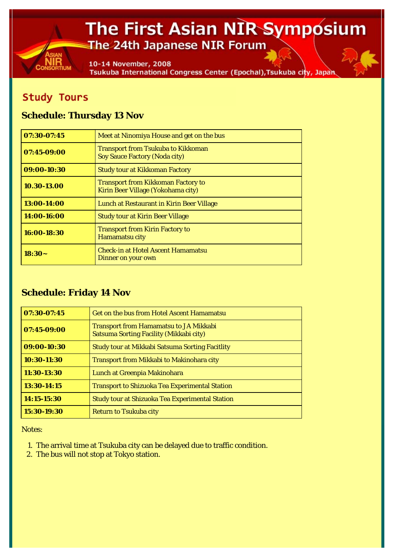## The First Asian NIR Symposium The 24th Japanese NIR Forum

10-14 November, 2008 Tsukuba International Congress Center (Epochal), Tsukuba city, Japan

## **Study Tours**

## **Schedule: Thursday 13 Nov**

| 07:30-07:45 | Meet at Ninomiya House and get on the bus                                         |
|-------------|-----------------------------------------------------------------------------------|
| 07:45-09:00 | <b>Transport from Tsukuba to Kikkoman</b><br><b>Soy Sauce Factory (Noda city)</b> |
| 09:00-10:30 | <b>Study tour at Kikkoman Factory</b>                                             |
| 10.30-13.00 | <b>Transport from Kikkoman Factory to</b><br>Kirin Beer Village (Yokohama city)   |
| 13:00-14:00 | Lunch at Restaurant in Kirin Beer Village                                         |
| 14:00-16:00 | <b>Study tour at Kirin Beer Village</b>                                           |
| 16:00-18:30 | <b>Transport from Kirin Factory to</b><br><b>Hamamatsu city</b>                   |
| $18:30-$    | <b>Check-in at Hotel Ascent Hamamatsu</b><br>Dinner on your own                   |

## **Schedule: Friday 14 Nov**

| $07:30-07:45$ | <b>Get on the bus from Hotel Ascent Hamamatsu</b>                                        |
|---------------|------------------------------------------------------------------------------------------|
| 07:45-09:00   | <b>Transport from Hamamatsu to JA Mikkabi</b><br>Satsuma Sorting Facility (Mikkabi city) |
| 09:00-10:30   | <b>Study tour at Mikkabi Satsuma Sorting Facitlity</b>                                   |
| 10:30-11:30   | <b>Transport from Mikkabi to Makinohara city</b>                                         |
| 11:30-13:30   | Lunch at Greenpia Makinohara                                                             |
| 13:30-14:15   | <b>Transport to Shizuoka Tea Experimental Station</b>                                    |
| 14:15-15:30   | <b>Study tour at Shizuoka Tea Experimental Station</b>                                   |
| 15:30-19:30   | <b>Return to Tsukuba city</b>                                                            |

*Notes:*

- 1. The arrival time at Tsukuba city can be delayed due to traffic condition.
- 2. The bus will not stop at Tokyo station.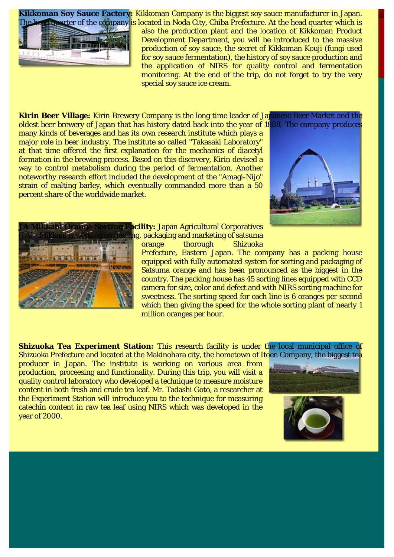**Kikkoman Soy Sauce Factory:** Kikkoman Company is the biggest soy sauce manufacturer in Japan. In guarter of the company is located in Noda City, Chiba Prefecture. At the head quarter which is



also the production plant and the location of Kikkoman Product Development Department, you will be introduced to the massive production of soy sauce, the secret of Kikkoman Kouji (fungi used for soy sauce fermentation), the history of soy sauce production and the application of NIRS for quality control and fermentation monitoring. At the end of the trip, do not forget to try the very special soy sauce ice cream.

**Kirin Beer Village:** Kirin Brewery Company is the long time leader of Japanese Beer Market and the oldest beer brewery of Japan that has history dated back into the year of 1888. The company produces

many kinds of beverages and has its own research institute which plays a major role in beer industry. The institute so called "Takasaki Laboratory" at that time offered the first explanation for the mechanics of diacetyl formation in the brewing process. Based on this discovery, Kirin devised a way to control metabolism during the period of fermentation. Another noteworthy research effort included the development of the "Amagi-Nijo" strain of malting barley, which eventually commanded more than a 50 percent share of the worldwide market.





**Cility:** Japan Agricultural Corporatives ng, packaging and marketing of satsuma orange thorough Shizuoka

Prefecture, Eastern Japan. The company has a packing house equipped with fully automated system for sorting and packaging of Satsuma orange and has been pronounced as the biggest in the country. The packing house has 45 sorting lines equipped with CCD camera for size, color and defect and with NIRS sorting machine for sweetness. The sorting speed for each line is 6 oranges per second which then giving the speed for the whole sorting plant of nearly 1 million oranges per hour.

**Shizuoka Tea Experiment Station:** This research facility is under the local municipal office of Shizuoka Prefecture and located at the Makinohara city, the hometown of Itoen Company, the biggest tea

producer in Japan. The institute is working on various area from production, proceesing and functionality. During this trip, you will visit a quality control laboratory who developed a technique to measure moisture content in both fresh and crude tea leaf. Mr. Tadashi Goto, a researcher at the Experiment Station will introduce you to the technique for measuring catechin content in raw tea leaf using NIRS which was developed in the year of 2000.